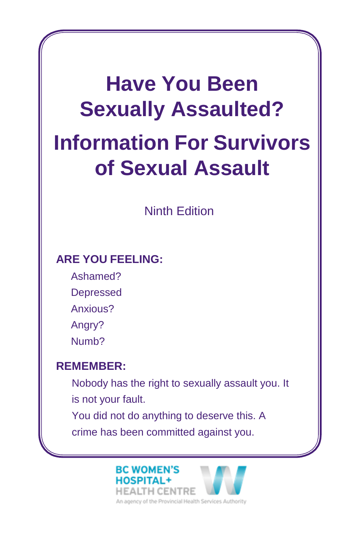# **Have You Been Sexually Assaulted? Information For Survivors of Sexual Assault**

## Ninth Edition

#### **ARE YOU FEELING:**

Ashamed? Depressed Anxious? Angry? Numb?

# **REMEMBER:**

Nobody has the right to sexually assault you. It is not your fault. You did not do anything to deserve this. A crime has been committed against you.

#### **BC WOMEN'S HOSPITAL+**



An agency of the Provincial Health Services Authority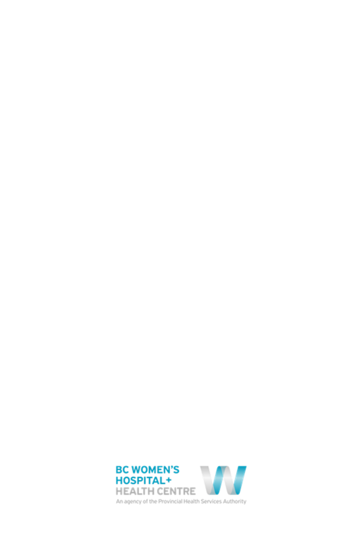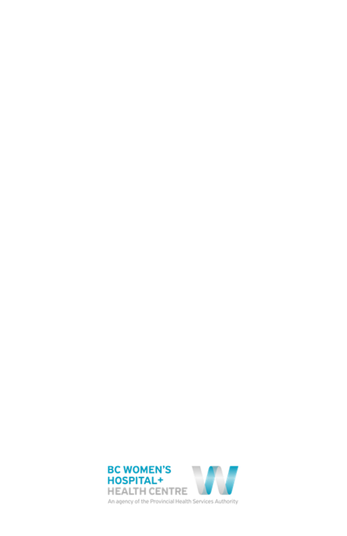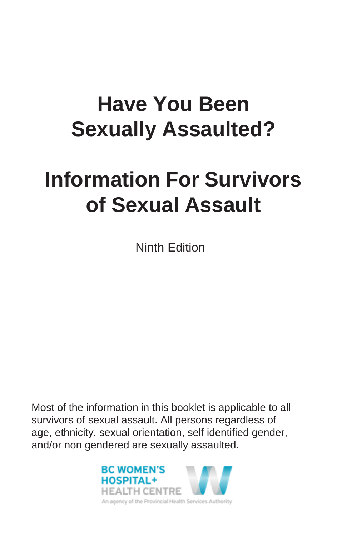# **Have You Been Sexually Assaulted?**

# **Information For Survivors of Sexual Assault**

Ninth Edition

Most of the information in this booklet is applicable to all survivors of sexual assault. All persons regardless of age, ethnicity, sexual orientation, self identified gender, and/or non gendered are sexually assaulted.

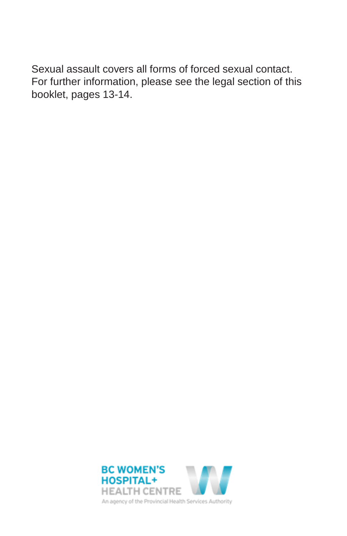Sexual assault covers all forms of forced sexual contact. For further information, please see the legal section of this booklet, pages 13-14.

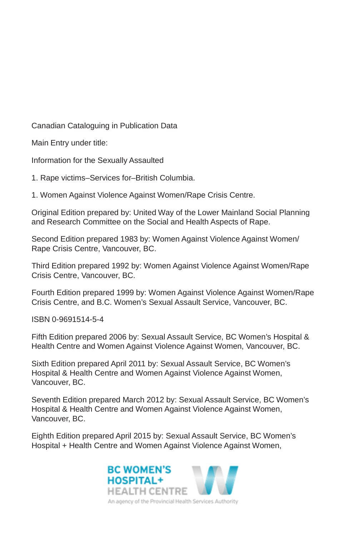Canadian Cataloguing in Publication Data

Main Entry under title:

Information for the Sexually Assaulted

1. Rape victims–Services for–British Columbia.

1. Women Against Violence Against Women/Rape Crisis Centre.

Original Edition prepared by: United Way of the Lower Mainland Social Planning and Research Committee on the Social and Health Aspects of Rape.

Second Edition prepared 1983 by: Women Against Violence Against Women/ Rape Crisis Centre, Vancouver, BC.

Third Edition prepared 1992 by: Women Against Violence Against Women/Rape Crisis Centre, Vancouver, BC.

Fourth Edition prepared 1999 by: Women Against Violence Against Women/Rape Crisis Centre, and B.C. Women's Sexual Assault Service, Vancouver, BC.

ISBN 0-9691514-5-4

Fifth Edition prepared 2006 by: Sexual Assault Service, BC Women's Hospital & Health Centre and Women Against Violence Against Women, Vancouver, BC.

Sixth Edition prepared April 2011 by: Sexual Assault Service, BC Women's Hospital & Health Centre and Women Against Violence Against Women, Vancouver, BC.

Seventh Edition prepared March 2012 by: Sexual Assault Service, BC Women's Hospital & Health Centre and Women Against Violence Against Women, Vancouver, BC.

Eighth Edition prepared April 2015 by: Sexual Assault Service, BC Women's Hospital + Health Centre and Women Against Violence Against Women,

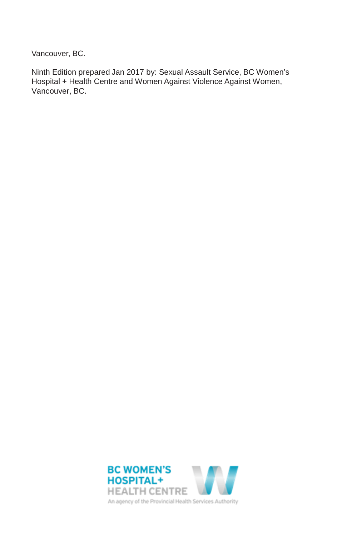Vancouver, BC.

Ninth Edition prepared Jan 2017 by: Sexual Assault Service, BC Women's Hospital + Health Centre and Women Against Violence Against Women, Vancouver, BC.

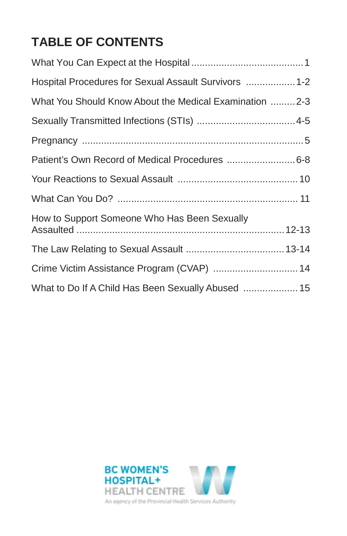# **TABLE OF CONTENTS**

| Hospital Procedures for Sexual Assault Survivors  1-2   |  |
|---------------------------------------------------------|--|
| What You Should Know About the Medical Examination  2-3 |  |
|                                                         |  |
|                                                         |  |
| Patient's Own Record of Medical Procedures  6-8         |  |
|                                                         |  |
|                                                         |  |
| How to Support Someone Who Has Been Sexually            |  |
|                                                         |  |
| Crime Victim Assistance Program (CVAP)  14              |  |
| What to Do If A Child Has Been Sexually Abused  15      |  |

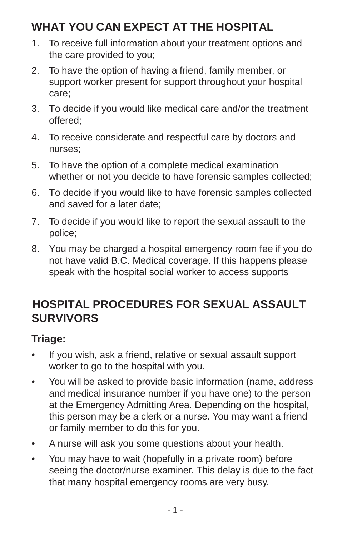# <span id="page-8-0"></span>**WHAT YOU CAN EXPECT AT THE HOSPITAL**

- 1. To receive full information about your treatment options and the care provided to you;
- 2. To have the option of having a friend, family member, or support worker present for support throughout your hospital care;
- 3. To decide if you would like medical care and/or the treatment offered;
- 4. To receive considerate and respectful care by doctors and nurses;
- 5. To have the option of a complete medical examination whether or not you decide to have forensic samples collected;
- 6. To decide if you would like to have forensic samples collected and saved for a later date;
- 7. To decide if you would like to report the sexual assault to the police;
- 8. You may be charged a hospital emergency room fee if you do not have valid B.C. Medical coverage. If this happens please speak with the hospital social worker to access supports

# <span id="page-8-1"></span>**HOSPITAL PROCEDURES FOR SEXUAL ASSAULT SURVIVORS**

#### **Triage:**

- If you wish, ask a friend, relative or sexual assault support worker to go to the hospital with you.
- You will be asked to provide basic information (name, address and medical insurance number if you have one) to the person at the Emergency Admitting Area. Depending on the hospital, this person may be a clerk or a nurse. You may want a friend or family member to do this for you.
- A nurse will ask you some questions about your health.
- You may have to wait (hopefully in a private room) before seeing the doctor/nurse examiner. This delay is due to the fact that many hospital emergency rooms are very busy.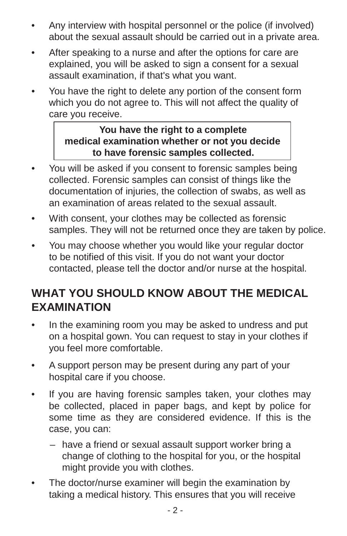- Any interview with hospital personnel or the police (if involved) about the sexual assault should be carried out in a private area.
- After speaking to a nurse and after the options for care are explained, you will be asked to sign a consent for a sexual assault examination, if that's what you want.
- You have the right to delete any portion of the consent form which you do not agree to. This will not affect the quality of care you receive.

#### **You have the right to a complete medical examination whether or not you decide to have forensic samples collected.**

- You will be asked if you consent to forensic samples being collected. Forensic samples can consist of things like the documentation of injuries, the collection of swabs, as well as an examination of areas related to the sexual assault.
- With consent, your clothes may be collected as forensic samples. They will not be returned once they are taken by police.
- You may choose whether you would like your regular doctor to be notified of this visit. If you do not want your doctor contacted, please tell the doctor and/or nurse at the hospital.

# <span id="page-9-0"></span>**WHAT YOU SHOULD KNOW ABOUT THE MEDICAL EXAMINATION**

- In the examining room you may be asked to undress and put on a hospital gown. You can request to stay in your clothes if you feel more comfortable.
- A support person may be present during any part of your hospital care if you choose.
- If you are having forensic samples taken, your clothes may be collected, placed in paper bags, and kept by police for some time as they are considered evidence. If this is the case, you can:
	- have a friend or sexual assault support worker bring a change of clothing to the hospital for you, or the hospital might provide you with clothes.
- The doctor/nurse examiner will begin the examination by taking a medical history. This ensures that you will receive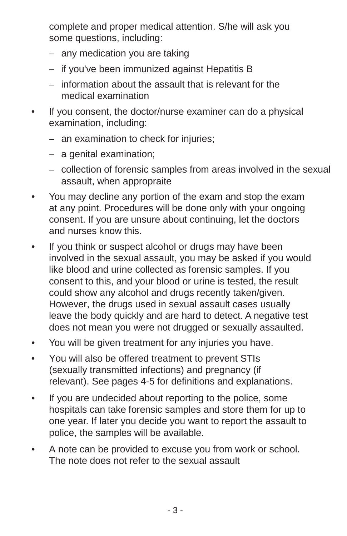complete and proper medical attention. S/he will ask you some questions, including:

- any medication you are taking
- if you've been immunized against Hepatitis B
- information about the assault that is relevant for the medical examination
- If you consent, the doctor/nurse examiner can do a physical examination, including:
	- an examination to check for injuries;
	- a genital examination;
	- collection of forensic samples from areas involved in the sexual assault, when appropraite
- You may decline any portion of the exam and stop the exam at any point. Procedures will be done only with your ongoing consent. If you are unsure about continuing, let the doctors and nurses know this.
- If you think or suspect alcohol or drugs may have been involved in the sexual assault, you may be asked if you would like blood and urine collected as forensic samples. If you consent to this, and your blood or urine is tested, the result could show any alcohol and drugs recently taken/given. However, the drugs used in sexual assault cases usually leave the body quickly and are hard to detect. A negative test does not mean you were not drugged or sexually assaulted.
- You will be given treatment for any injuries you have.
- You will also be offered treatment to prevent STIs (sexually transmitted infections) and pregnancy (if relevant). See pages 4-5 for definitions and explanations.
- If you are undecided about reporting to the police, some hospitals can take forensic samples and store them for up to one year. If later you decide you want to report the assault to police, the samples will be available.
- A note can be provided to excuse you from work or school. The note does not refer to the sexual assault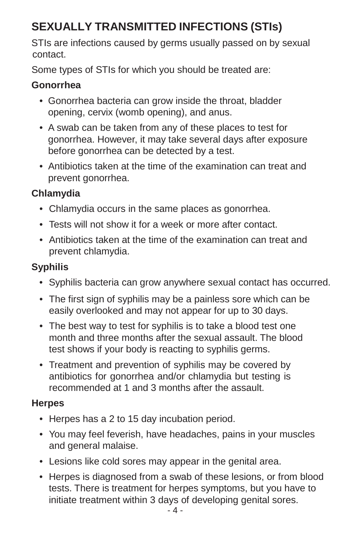# <span id="page-11-0"></span>**SEXUALLY TRANSMITTED INFECTIONS (STIs)**

STIs are infections caused by germs usually passed on by sexual contact.

Some types of STIs for which you should be treated are:

#### **Gonorrhea**

- Gonorrhea bacteria can grow inside the throat, bladder opening, cervix (womb opening), and anus.
- A swab can be taken from any of these places to test for gonorrhea. However, it may take several days after exposure before gonorrhea can be detected by a test.
- Antibiotics taken at the time of the examination can treat and prevent gonorrhea.

#### **Chlamydia**

- Chlamydia occurs in the same places as gonorrhea.
- Tests will not show it for a week or more after contact.
- Antibiotics taken at the time of the examination can treat and prevent chlamydia.

### **Syphilis**

- Syphilis bacteria can grow anywhere sexual contact has occurred.
- The first sign of syphilis may be a painless sore which can be easily overlooked and may not appear for up to 30 days.
- The best way to test for syphilis is to take a blood test one month and three months after the sexual assault. The blood test shows if your body is reacting to syphilis germs.
- Treatment and prevention of syphilis may be covered by antibiotics for gonorrhea and/or chlamydia but testing is recommended at 1 and 3 months after the assault.

#### **Herpes**

- Herpes has a 2 to 15 day incubation period.
- You may feel feverish, have headaches, pains in your muscles and general malaise.
- Lesions like cold sores may appear in the genital area.
- Herpes is diagnosed from a swab of these lesions, or from blood tests. There is treatment for herpes symptoms, but you have to initiate treatment within 3 days of developing genital sores.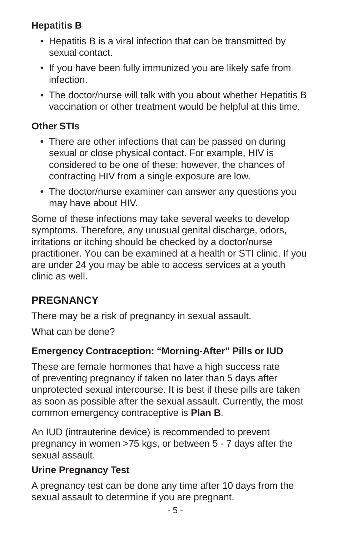#### **Hepatitis B**

- Hepatitis B is a viral infection that can be transmitted by sexual contact.
- If you have been fully immunized you are likely safe from infection.
- The doctor/nurse will talk with you about whether Hepatitis B vaccination or other treatment would be helpful at this time.

#### **Other STIs**

- There are other infections that can be passed on during sexual or close physical contact. For example, HIV is considered to be one of these; however, the chances of contracting HIV from a single exposure are low.
- The doctor/nurse examiner can answer any questions you may have about HIV.

Some of these infections may take several weeks to develop symptoms. Therefore, any unusual genital discharge, odors, irritations or itching should be checked by a doctor/nurse practitioner. You can be examined at a health or STI clinic. If you are under 24 you may be able to access services at a youth clinic as well.

#### <span id="page-12-0"></span>**PREGNANCY**

There may be a risk of pregnancy in sexual assault.

What can be done?

#### **Emergency Contraception: "Morning-After" Pills or IUD**

These are female hormones that have a high success rate of preventing pregnancy if taken no later than 5 days after unprotected sexual intercourse. It is best if these pills are taken as soon as possible after the sexual assault. Currently, the most common emergency contraceptive is **Plan B**.

An IUD (intrauterine device) is recommended to prevent pregnancy in women >75 kgs, or between 5 - 7 days after the sexual assault.

#### **Urine Pregnancy Test**

A pregnancy test can be done any time after 10 days from the sexual assault to determine if you are pregnant.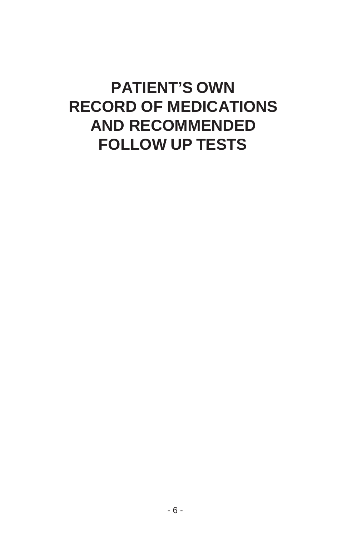# **PATIENT'S OWN RECORD OF MEDICATIONS AND RECOMMENDED FOLLOW UP TESTS**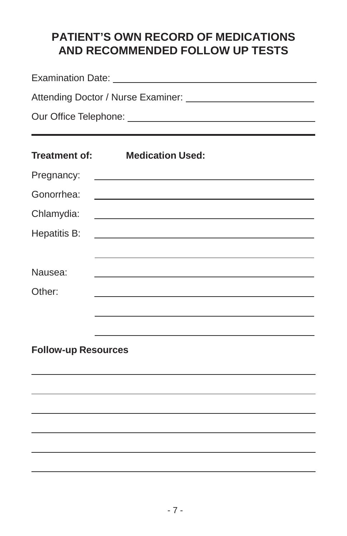## **PATIENT'S OWN RECORD OF MEDICATIONS AND RECOMMENDED FOLLOW UP TESTS**

|                            |                                                                                                                      |  |  |  |            | <b>Treatment of:</b> Medication Used: |  |
|----------------------------|----------------------------------------------------------------------------------------------------------------------|--|--|--|------------|---------------------------------------|--|
|                            |                                                                                                                      |  |  |  | Pregnancy: |                                       |  |
| Gonorrhea:                 |                                                                                                                      |  |  |  |            |                                       |  |
| Chlamydia:                 | <u> 1980 - Johann Barbara, martxa alemaniar argumento estas políticas en la contrada de la contrada de la contra</u> |  |  |  |            |                                       |  |
| Hepatitis B:               | <u> 1989 - Johann Stoff, amerikansk politiker (* 1908)</u>                                                           |  |  |  |            |                                       |  |
|                            |                                                                                                                      |  |  |  |            |                                       |  |
| Nausea:                    | <u> 1989 - Johann Stoff, amerikansk politiker (d. 1989)</u>                                                          |  |  |  |            |                                       |  |
| Other:                     |                                                                                                                      |  |  |  |            |                                       |  |
|                            |                                                                                                                      |  |  |  |            |                                       |  |
|                            |                                                                                                                      |  |  |  |            |                                       |  |
| <b>Follow-up Resources</b> |                                                                                                                      |  |  |  |            |                                       |  |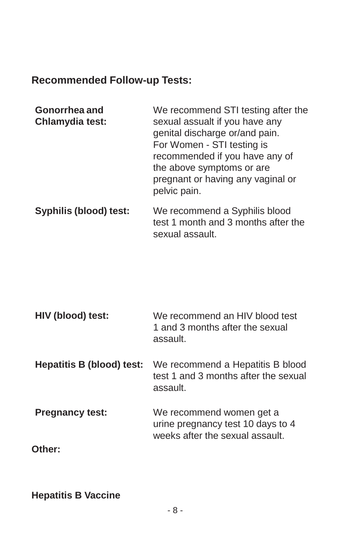#### **Recommended Follow-up Tests:**

| Gonorrhea and   | We recommend STI testing after the |
|-----------------|------------------------------------|
| Chlamydia test: | sexual assualt if you have any     |
|                 | genital discharge or/and pain.     |
|                 | For Women - STI testing is         |
|                 | recommended if you have any of     |
|                 | the above symptoms or are          |
|                 | pregnant or having any vaginal or  |
|                 | pelvic pain.                       |
|                 |                                    |

**Syphilis (blood) test:** We recommend a Syphilis blood test 1 month and 3 months after the sexual assault.

| HIV (blood) test:         | We recommend an HIV blood test<br>1 and 3 months after the sexual<br>assault.                    |
|---------------------------|--------------------------------------------------------------------------------------------------|
| Hepatitis B (blood) test: | We recommend a Hepatitis B blood<br>test 1 and 3 months after the sexual<br>assault.             |
| <b>Pregnancy test:</b>    | We recommend women get a<br>urine pregnancy test 10 days to 4<br>weeks after the sexual assault. |
| Other:                    |                                                                                                  |

**Hepatitis B Vaccine**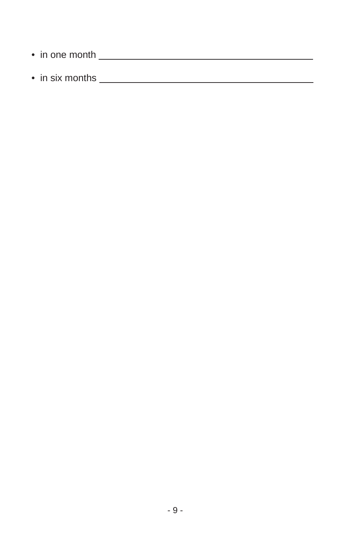- in one month **example 2** in the month  $\sim$
- in six months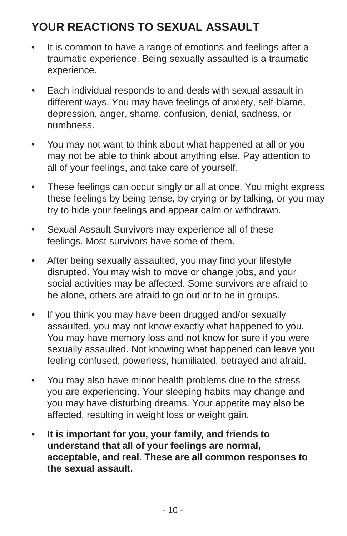# <span id="page-18-0"></span>**YOUR REACTIONS TO SEXUAL ASSAULT**

- It is common to have a range of emotions and feelings after a traumatic experience. Being sexually assaulted is a traumatic experience.
- Each individual responds to and deals with sexual assault in different ways. You may have feelings of anxiety, self-blame, depression, anger, shame, confusion, denial, sadness, or numbness.
- You may not want to think about what happened at all or you may not be able to think about anything else. Pay attention to all of your feelings, and take care of yourself.
- These feelings can occur singly or all at once. You might express these feelings by being tense, by crying or by talking, or you may try to hide your feelings and appear calm or withdrawn.
- Sexual Assault Survivors may experience all of these feelings. Most survivors have some of them.
- After being sexually assaulted, you may find your lifestyle disrupted. You may wish to move or change jobs, and your social activities may be affected. Some survivors are afraid to be alone, others are afraid to go out or to be in groups.
- If you think you may have been drugged and/or sexually assaulted, you may not know exactly what happened to you. You may have memory loss and not know for sure if you were sexually assaulted. Not knowing what happened can leave you feeling confused, powerless, humiliated, betrayed and afraid.
- You may also have minor health problems due to the stress you are experiencing. Your sleeping habits may change and you may have disturbing dreams. Your appetite may also be affected, resulting in weight loss or weight gain.
- **It is important for you, your family, and friends to understand that all of your feelings are normal, acceptable, and real. These are all common responses to the sexual assault.**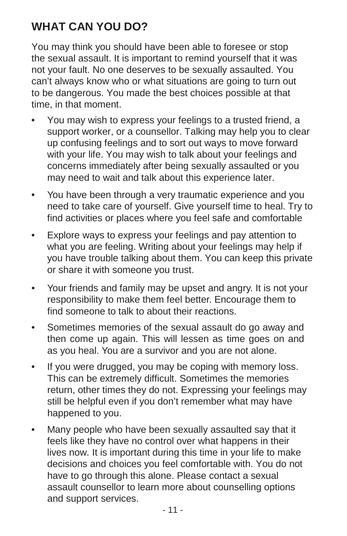# <span id="page-19-0"></span>**WHAT CAN YOU DO?**

You may think you should have been able to foresee or stop the sexual assault. It is important to remind yourself that it was not your fault. No one deserves to be sexually assaulted. You can't always know who or what situations are going to turn out to be dangerous. You made the best choices possible at that time, in that moment.

- You may wish to express your feelings to a trusted friend, a support worker, or a counsellor. Talking may help you to clear up confusing feelings and to sort out ways to move forward with your life. You may wish to talk about your feelings and concerns immediately after being sexually assaulted or you may need to wait and talk about this experience later.
- You have been through a very traumatic experience and you need to take care of yourself. Give yourself time to heal. Try to find activities or places where you feel safe and comfortable
- Explore ways to express your feelings and pay attention to what you are feeling. Writing about your feelings may help if you have trouble talking about them. You can keep this private or share it with someone you trust.
- Your friends and family may be upset and angry. It is not your responsibility to make them feel better. Encourage them to find someone to talk to about their reactions.
- Sometimes memories of the sexual assault do go away and then come up again. This will lessen as time goes on and as you heal. You are a survivor and you are not alone.
- If you were drugged, you may be coping with memory loss. This can be extremely difficult. Sometimes the memories return, other times they do not. Expressing your feelings may still be helpful even if you don't remember what may have happened to you.
- Many people who have been sexually assaulted say that it feels like they have no control over what happens in their lives now. It is important during this time in your life to make decisions and choices you feel comfortable with. You do not have to go through this alone. Please contact a sexual assault counsellor to learn more about counselling options and support services.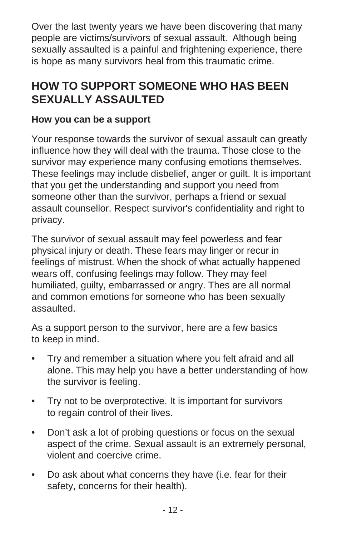Over the last twenty years we have been discovering that many people are victims/survivors of sexual assault. Although being sexually assaulted is a painful and frightening experience, there is hope as many survivors heal from this traumatic crime.

## <span id="page-20-0"></span>**HOW TO SUPPORT SOMEONE WHO HAS BEEN SEXUALLY ASSAULTED**

#### **How you can be a support**

Your response towards the survivor of sexual assault can greatly influence how they will deal with the trauma. Those close to the survivor may experience many confusing emotions themselves. These feelings may include disbelief, anger or guilt. It is important that you get the understanding and support you need from someone other than the survivor, perhaps a friend or sexual assault counsellor. Respect survivor's confidentiality and right to privacy.

The survivor of sexual assault may feel powerless and fear physical injury or death. These fears may linger or recur in feelings of mistrust. When the shock of what actually happened wears off, confusing feelings may follow. They may feel humiliated, guilty, embarrassed or angry. Thes are all normal and common emotions for someone who has been sexually assaulted.

As a support person to the survivor, here are a few basics to keep in mind.

- Try and remember a situation where you felt afraid and all alone. This may help you have a better understanding of how the survivor is feeling.
- Try not to be overprotective. It is important for survivors to regain control of their lives.
- Don't ask a lot of probing questions or focus on the sexual aspect of the crime. Sexual assault is an extremely personal, violent and coercive crime.
- Do ask about what concerns they have (i.e. fear for their safety, concerns for their health).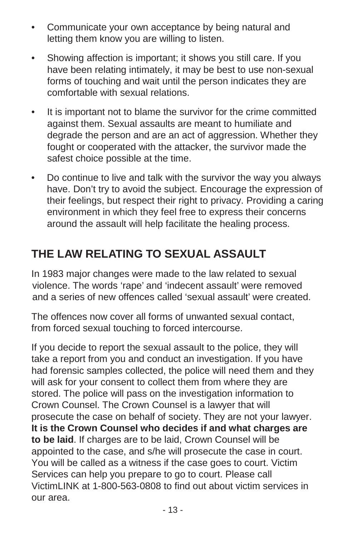- Communicate your own acceptance by being natural and letting them know you are willing to listen.
- Showing affection is important; it shows you still care. If you have been relating intimately, it may be best to use non-sexual forms of touching and wait until the person indicates they are comfortable with sexual relations.
- It is important not to blame the survivor for the crime committed against them. Sexual assaults are meant to humiliate and degrade the person and are an act of aggression. Whether they fought or cooperated with the attacker, the survivor made the safest choice possible at the time.
- Do continue to live and talk with the survivor the way you always have. Don't try to avoid the subject. Encourage the expression of their feelings, but respect their right to privacy. Providing a caring environment in which they feel free to express their concerns around the assault will help facilitate the healing process.

# <span id="page-21-0"></span>**THE LAW RELATING TO SEXUAL ASSAULT**

In 1983 major changes were made to the law related to sexual violence. The words 'rape' and 'indecent assault' were removed and a series of new offences called 'sexual assault' were created.

The offences now cover all forms of unwanted sexual contact, from forced sexual touching to forced intercourse.

If you decide to report the sexual assault to the police, they will take a report from you and conduct an investigation. If you have had forensic samples collected, the police will need them and they will ask for your consent to collect them from where they are stored. The police will pass on the investigation information to Crown Counsel. The Crown Counsel is a lawyer that will prosecute the case on behalf of society. They are not your lawyer. **It is the Crown Counsel who decides if and what charges are to be laid**. If charges are to be laid, Crown Counsel will be appointed to the case, and s/he will prosecute the case in court. You will be called as a witness if the case goes to court. Victim Services can help you prepare to go to court. Please call VictimLINK at 1-800-563-0808 to find out about victim services in our area.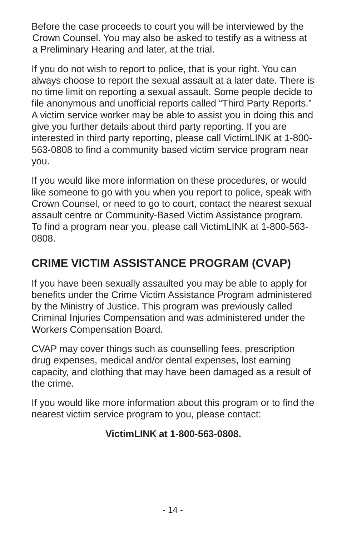Before the case proceeds to court you will be interviewed by the Crown Counsel. You may also be asked to testify as a witness at a Preliminary Hearing and later, at the trial.

If you do not wish to report to police, that is your right. You can always choose to report the sexual assault at a later date. There is no time limit on reporting a sexual assault. Some people decide to file anonymous and unofficial reports called "Third Party Reports." A victim service worker may be able to assist you in doing this and give you further details about third party reporting. If you are interested in third party reporting, please call VictimLINK at 1-800- 563-0808 to find a community based victim service program near you.

If you would like more information on these procedures, or would like someone to go with you when you report to police, speak with Crown Counsel, or need to go to court, contact the nearest sexual assault centre or Community-Based Victim Assistance program. To find a program near you, please call VictimLINK at 1-800-563- 0808.

# <span id="page-22-0"></span>**CRIME VICTIM ASSISTANCE PROGRAM (CVAP)**

If you have been sexually assaulted you may be able to apply for benefits under the Crime Victim Assistance Program administered by the Ministry of Justice. This program was previously called Criminal Injuries Compensation and was administered under the Workers Compensation Board.

CVAP may cover things such as counselling fees, prescription drug expenses, medical and/or dental expenses, lost earning capacity, and clothing that may have been damaged as a result of the crime.

If you would like more information about this program or to find the nearest victim service program to you, please contact:

#### **VictimLINK at 1-800-563-0808.**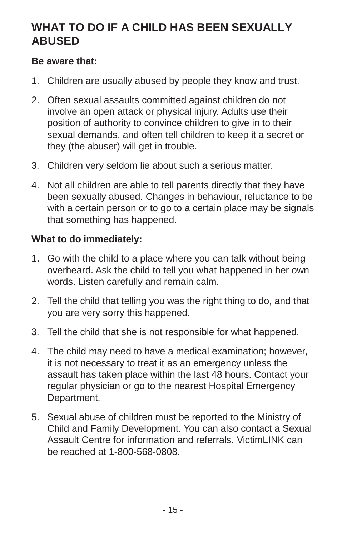### <span id="page-23-0"></span>**WHAT TO DO IF A CHILD HAS BEEN SEXUALLY ABUSED**

#### **Be aware that:**

- 1. Children are usually abused by people they know and trust.
- 2. Often sexual assaults committed against children do not involve an open attack or physical injury. Adults use their position of authority to convince children to give in to their sexual demands, and often tell children to keep it a secret or they (the abuser) will get in trouble.
- 3. Children very seldom lie about such a serious matter.
- 4. Not all children are able to tell parents directly that they have been sexually abused. Changes in behaviour, reluctance to be with a certain person or to go to a certain place may be signals that something has happened.

#### **What to do immediately:**

- 1. Go with the child to a place where you can talk without being overheard. Ask the child to tell you what happened in her own words. Listen carefully and remain calm.
- 2. Tell the child that telling you was the right thing to do, and that you are very sorry this happened.
- 3. Tell the child that she is not responsible for what happened.
- 4. The child may need to have a medical examination; however, it is not necessary to treat it as an emergency unless the assault has taken place within the last 48 hours. Contact your regular physician or go to the nearest Hospital Emergency Department.
- 5. Sexual abuse of children must be reported to the Ministry of Child and Family Development. You can also contact a Sexual Assault Centre for information and referrals. VictimLINK can be reached at 1-800-568-0808.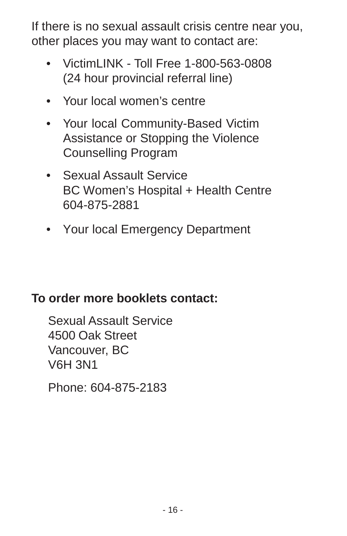If there is no sexual assault crisis centre near you, other places you may want to contact are:

- VictimLINK Toll Free 1-800-563-0808 (24 hour provincial referral line)
- Your local women's centre
- Your local Community-Based Victim Assistance or Stopping the Violence Counselling Program
- Sexual Assault Service BC Women's Hospital + Health Centre 604-875-2881
- Your local Emergency Department

# **To order more booklets contact:**

Sexual Assault Service 4500 Oak Street Vancouver, BC V6H 3N1

Phone: 604-875-2183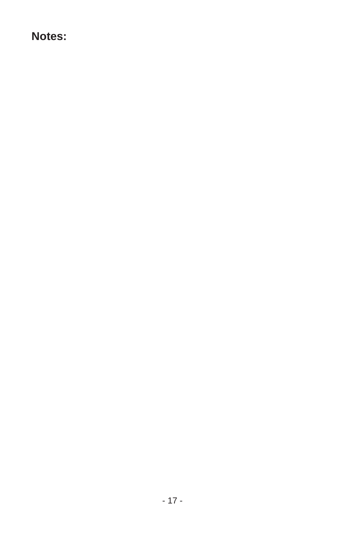#### **Notes:**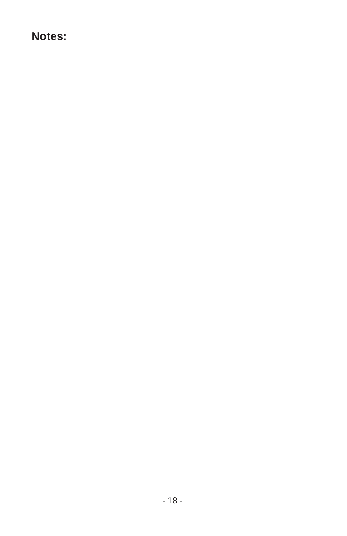#### **Notes:**